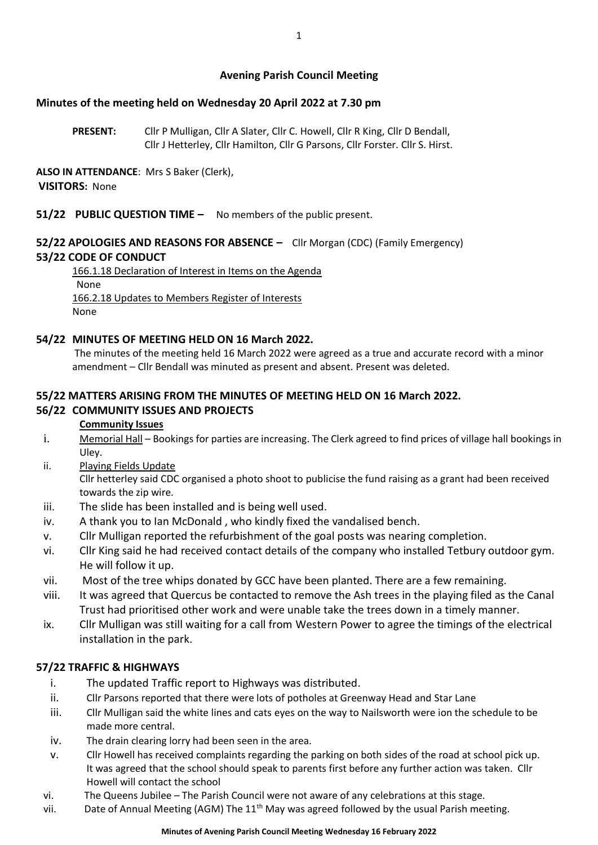## **Avening Parish Council Meeting**

### **Minutes of the meeting held on Wednesday 20 April 2022 at 7.30 pm**

**PRESENT:** Cllr P Mulligan, Cllr A Slater, Cllr C. Howell, Cllr R King, Cllr D Bendall, Cllr J Hetterley, Cllr Hamilton, Cllr G Parsons, Cllr Forster. Cllr S. Hirst.

## **ALSO IN ATTENDANCE**: Mrs S Baker (Clerk), **VISITORS:** None

## **51/22 PUBLIC QUESTION TIME –** No members of the public present.

## **52/22 APOLOGIES AND REASONS FOR ABSENCE –** Cllr Morgan (CDC) (Family Emergency) **53/22 CODE OF CONDUCT**

166.1.18 Declaration of Interest in Items on the Agenda None 166.2.18 Updates to Members Register of Interests None

#### **54/22 MINUTES OF MEETING HELD ON 16 March 2022.**

The minutes of the meeting held 16 March 2022 were agreed as a true and accurate record with a minor amendment – Cllr Bendall was minuted as present and absent. Present was deleted.

## **55/22 MATTERS ARISING FROM THE MINUTES OF MEETING HELD ON 16 March 2022.**

## **56/22 COMMUNITY ISSUES AND PROJECTS**

#### **Community Issues**

- i. Memorial Hall Bookings for parties are increasing. The Clerk agreed to find prices of village hall bookings in Uley.
- ii. Playing Fields Update

Cllr hetterley said CDC organised a photo shoot to publicise the fund raising as a grant had been received towards the zip wire.

- iii. The slide has been installed and is being well used.
- iv. A thank you to Ian McDonald , who kindly fixed the vandalised bench.
- v. Cllr Mulligan reported the refurbishment of the goal posts was nearing completion.
- vi. Cllr King said he had received contact details of the company who installed Tetbury outdoor gym. He will follow it up.
- vii. Most of the tree whips donated by GCC have been planted. There are a few remaining.
- viii. It was agreed that Quercus be contacted to remove the Ash trees in the playing filed as the Canal Trust had prioritised other work and were unable take the trees down in a timely manner.
- ix. Cllr Mulligan was still waiting for a call from Western Power to agree the timings of the electrical installation in the park.

## **57/22 TRAFFIC & HIGHWAYS**

- i. The updated Traffic report to Highways was distributed.
- ii. Cllr Parsons reported that there were lots of potholes at Greenway Head and Star Lane
- iii. Cllr Mulligan said the white lines and cats eyes on the way to Nailsworth were ion the schedule to be made more central.
- iv. The drain clearing lorry had been seen in the area.
- v. Cllr Howell has received complaints regarding the parking on both sides of the road at school pick up. It was agreed that the school should speak to parents first before any further action was taken. Cllr Howell will contact the school
- vi. The Queens Jubilee The Parish Council were not aware of any celebrations at this stage.
- vii. Date of Annual Meeting (AGM) The  $11<sup>th</sup>$  May was agreed followed by the usual Parish meeting.

#### **Minutes of Avening Parish Council Meeting Wednesday 16 February 2022**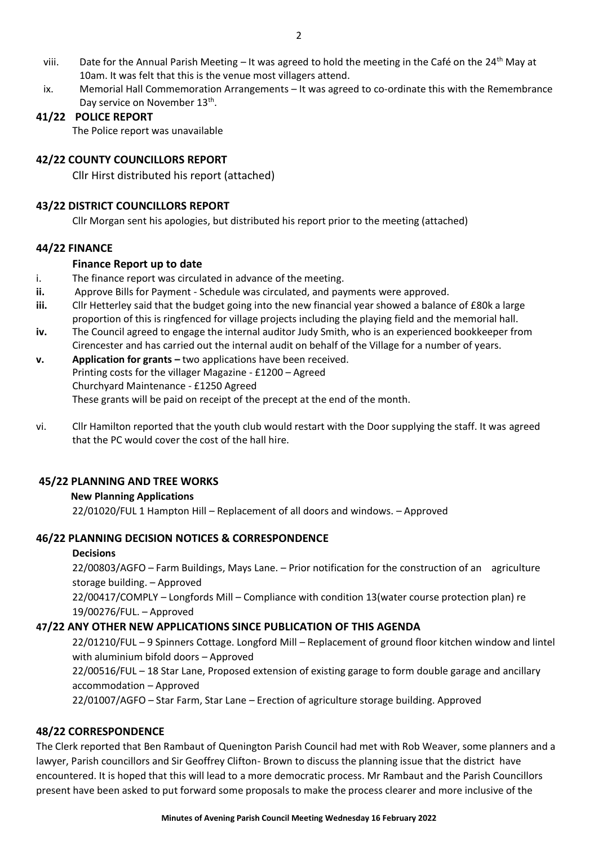- viii. Date for the Annual Parish Meeting It was agreed to hold the meeting in the Café on the 24<sup>th</sup> May at 10am. It was felt that this is the venue most villagers attend.
- ix. Memorial Hall Commemoration Arrangements It was agreed to co-ordinate this with the Remembrance Day service on November 13<sup>th</sup>.

#### **41/22 POLICE REPORT**

The Police report was unavailable

### **42/22 COUNTY COUNCILLORS REPORT**

Cllr Hirst distributed his report (attached)

### **43/22 DISTRICT COUNCILLORS REPORT**

Cllr Morgan sent his apologies, but distributed his report prior to the meeting (attached)

### **44/22 FINANCE**

#### **Finance Report up to date**

- i. The finance report was circulated in advance of the meeting.
- **ii.** Approve Bills for Payment Schedule was circulated, and payments were approved.
- **iii.** Cllr Hetterley said that the budget going into the new financial year showed a balance of £80k a large proportion of this is ringfenced for village projects including the playing field and the memorial hall.
- **iv.** The Council agreed to engage the internal auditor Judy Smith, who is an experienced bookkeeper from Cirencester and has carried out the internal audit on behalf of the Village for a number of years.
- **v. Application for grants –** two applications have been received. Printing costs for the villager Magazine - £1200 – Agreed Churchyard Maintenance - £1250 Agreed These grants will be paid on receipt of the precept at the end of the month.
- vi. Cllr Hamilton reported that the youth club would restart with the Door supplying the staff. It was agreed that the PC would cover the cost of the hall hire.

#### **45/22 PLANNING AND TREE WORKS**

#### **New Planning Applications**

22/01020/FUL 1 Hampton Hill – Replacement of all doors and windows. – Approved

#### **46/22 PLANNING DECISION NOTICES & CORRESPONDENCE**

#### **Decisions**

22/00803/AGFO – Farm Buildings, Mays Lane. – Prior notification for the construction of an agriculture storage building. – Approved 22/00417/COMPLY – Longfords Mill – Compliance with condition 13(water course protection plan) re

#### 19/00276/FUL. – Approved

#### **47/22 ANY OTHER NEW APPLICATIONS SINCE PUBLICATION OF THIS AGENDA**

22/01210/FUL – 9 Spinners Cottage. Longford Mill – Replacement of ground floor kitchen window and lintel with aluminium bifold doors – Approved

22/00516/FUL – 18 Star Lane, Proposed extension of existing garage to form double garage and ancillary accommodation – Approved

22/01007/AGFO – Star Farm, Star Lane – Erection of agriculture storage building. Approved

#### **48/22 CORRESPONDENCE**

The Clerk reported that Ben Rambaut of Quenington Parish Council had met with Rob Weaver, some planners and a lawyer, Parish councillors and Sir Geoffrey Clifton- Brown to discuss the planning issue that the district have encountered. It is hoped that this will lead to a more democratic process. Mr Rambaut and the Parish Councillors present have been asked to put forward some proposals to make the process clearer and more inclusive of the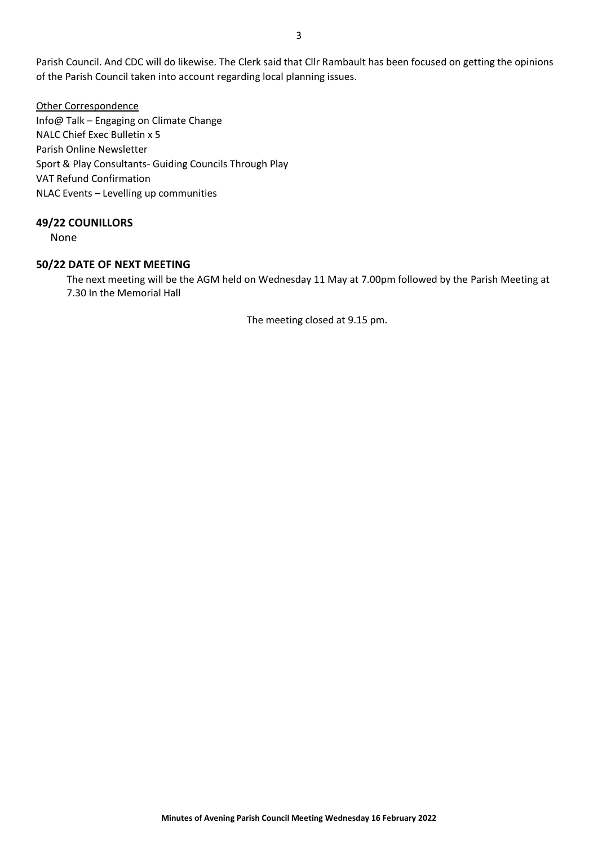Parish Council. And CDC will do likewise. The Clerk said that Cllr Rambault has been focused on getting the opinions of the Parish Council taken into account regarding local planning issues.

Other Correspondence Info@ Talk – Engaging on Climate Change NALC Chief Exec Bulletin x 5 Parish Online Newsletter Sport & Play Consultants- Guiding Councils Through Play VAT Refund Confirmation NLAC Events – Levelling up communities

#### **49/22 COUNILLORS**

None

#### **50/22 DATE OF NEXT MEETING**

The next meeting will be the AGM held on Wednesday 11 May at 7.00pm followed by the Parish Meeting at 7.30 In the Memorial Hall

The meeting closed at 9.15 pm.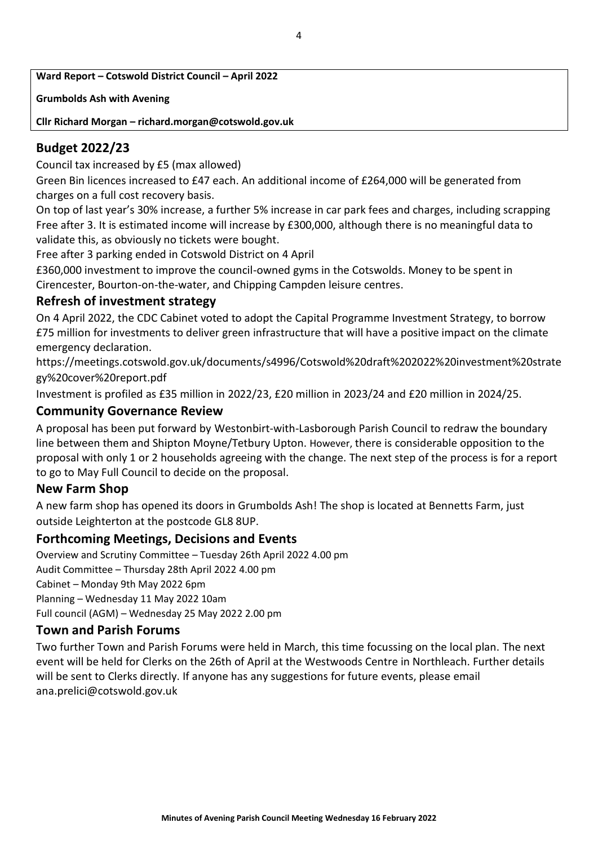**Ward Report – Cotswold District Council – April 2022**

**Grumbolds Ash with Avening**

**Cllr Richard Morgan – richard.morgan@cotswold.gov.uk**

# **Budget 2022/23**

Council tax increased by £5 (max allowed)

Green Bin licences increased to £47 each. An additional income of £264,000 will be generated from charges on a full cost recovery basis.

On top of last year's 30% increase, a further 5% increase in car park fees and charges, including scrapping Free after 3. It is estimated income will increase by £300,000, although there is no meaningful data to validate this, as obviously no tickets were bought.

Free after 3 parking ended in Cotswold District on 4 April

£360,000 investment to improve the council-owned gyms in the Cotswolds. Money to be spent in Cirencester, Bourton-on-the-water, and Chipping Campden leisure centres.

# **Refresh of investment strategy**

On 4 April 2022, the CDC Cabinet voted to adopt the Capital Programme Investment Strategy, to borrow £75 million for investments to deliver green infrastructure that will have a positive impact on the climate emergency declaration.

https://meetings.cotswold.gov.uk/documents/s4996/Cotswold%20draft%202022%20investment%20strate gy%20cover%20report.pdf

Investment is profiled as £35 million in 2022/23, £20 million in 2023/24 and £20 million in 2024/25.

# **Community Governance Review**

A proposal has been put forward by Westonbirt-with-Lasborough Parish Council to redraw the boundary line between them and Shipton Moyne/Tetbury Upton. However, there is considerable opposition to the proposal with only 1 or 2 households agreeing with the change. The next step of the process is for a report to go to May Full Council to decide on the proposal.

# **New Farm Shop**

A new farm shop has opened its doors in Grumbolds Ash! The shop is located at Bennetts Farm, just outside Leighterton at the postcode GL8 8UP.

# **Forthcoming Meetings, Decisions and Events**

Overview and Scrutiny Committee – Tuesday 26th April 2022 4.00 pm Audit Committee – Thursday 28th April 2022 4.00 pm Cabinet – Monday 9th May 2022 6pm Planning – Wednesday 11 May 2022 10am Full council (AGM) – Wednesday 25 May 2022 2.00 pm

## **Town and Parish Forums**

Two further Town and Parish Forums were held in March, this time focussing on the local plan. The next event will be held for Clerks on the 26th of April at the Westwoods Centre in Northleach. Further details will be sent to Clerks directly. If anyone has any suggestions for future events, please email ana.prelici@cotswold.gov.uk